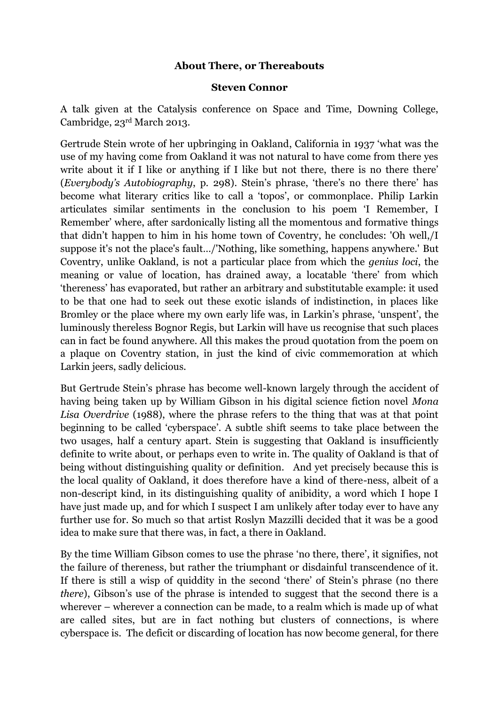## **About There, or Thereabouts**

#### **Steven Connor**

A talk given at the Catalysis conference on Space and Time, Downing College, Cambridge, 23rd March 2013.

Gertrude Stein wrote of her upbringing in Oakland, California in 1937 'what was the use of my having come from Oakland it was not natural to have come from there yes write about it if I like or anything if I like but not there, there is no there there' (*Everybody's Autobiography*, p. 298). Stein's phrase, 'there's no there there' has become what literary critics like to call a 'topos', or commonplace. Philip Larkin articulates similar sentiments in the conclusion to his poem 'I Remember, I Remember' where, after sardonically listing all the momentous and formative things that didn't happen to him in his home town of Coventry, he concludes: 'Oh well,/I suppose it's not the place's fault…/'Nothing, like something, happens anywhere.' But Coventry, unlike Oakland, is not a particular place from which the *genius loci*, the meaning or value of location, has drained away, a locatable 'there' from which 'thereness' has evaporated, but rather an arbitrary and substitutable example: it used to be that one had to seek out these exotic islands of indistinction, in places like Bromley or the place where my own early life was, in Larkin's phrase, 'unspent', the luminously thereless Bognor Regis, but Larkin will have us recognise that such places can in fact be found anywhere. All this makes the proud quotation from the poem on a plaque on Coventry station, in just the kind of civic commemoration at which Larkin jeers, sadly delicious.

But Gertrude Stein's phrase has become well-known largely through the accident of having being taken up by William Gibson in his digital science fiction novel *Mona Lisa Overdrive* (1988), where the phrase refers to the thing that was at that point beginning to be called 'cyberspace'. A subtle shift seems to take place between the two usages, half a century apart. Stein is suggesting that Oakland is insufficiently definite to write about, or perhaps even to write in. The quality of Oakland is that of being without distinguishing quality or definition. And yet precisely because this is the local quality of Oakland, it does therefore have a kind of there-ness, albeit of a non-descript kind, in its distinguishing quality of anibidity, a word which I hope I have just made up, and for which I suspect I am unlikely after today ever to have any further use for. So much so that artist Roslyn Mazzilli decided that it was be a good idea to make sure that there was, in fact, a there in Oakland.

By the time William Gibson comes to use the phrase 'no there, there', it signifies, not the failure of thereness, but rather the triumphant or disdainful transcendence of it. If there is still a wisp of quiddity in the second 'there' of Stein's phrase (no there *there*), Gibson's use of the phrase is intended to suggest that the second there is a wherever – wherever a connection can be made, to a realm which is made up of what are called sites, but are in fact nothing but clusters of connections, is where cyberspace is. The deficit or discarding of location has now become general, for there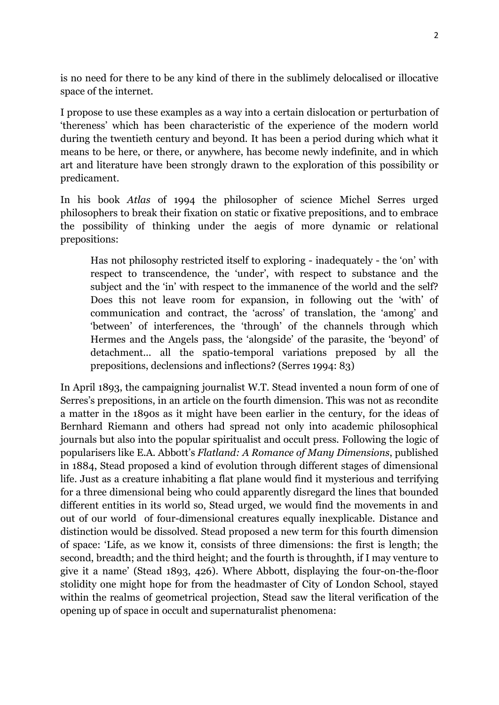is no need for there to be any kind of there in the sublimely delocalised or illocative space of the internet.

I propose to use these examples as a way into a certain dislocation or perturbation of 'thereness' which has been characteristic of the experience of the modern world during the twentieth century and beyond. It has been a period during which what it means to be here, or there, or anywhere, has become newly indefinite, and in which art and literature have been strongly drawn to the exploration of this possibility or predicament.

In his book *Atlas* of 1994 the philosopher of science Michel Serres urged philosophers to break their fixation on static or fixative prepositions, and to embrace the possibility of thinking under the aegis of more dynamic or relational prepositions:

Has not philosophy restricted itself to exploring - inadequately - the 'on' with respect to transcendence, the 'under', with respect to substance and the subject and the 'in' with respect to the immanence of the world and the self? Does this not leave room for expansion, in following out the 'with' of communication and contract, the 'across' of translation, the 'among' and 'between' of interferences, the 'through' of the channels through which Hermes and the Angels pass, the 'alongside' of the parasite, the 'beyond' of detachment... all the spatio-temporal variations preposed by all the prepositions, declensions and inflections? (Serres 1994: 83)

In April 1893, the campaigning journalist W.T. Stead invented a noun form of one of Serres's prepositions, in an article on the fourth dimension. This was not as recondite a matter in the 1890s as it might have been earlier in the century, for the ideas of Bernhard Riemann and others had spread not only into academic philosophical journals but also into the popular spiritualist and occult press. Following the logic of popularisers like E.A. Abbott's *Flatland: A Romance of Many Dimensions*, published in 1884, Stead proposed a kind of evolution through different stages of dimensional life. Just as a creature inhabiting a flat plane would find it mysterious and terrifying for a three dimensional being who could apparently disregard the lines that bounded different entities in its world so, Stead urged, we would find the movements in and out of our world of four-dimensional creatures equally inexplicable. Distance and distinction would be dissolved. Stead proposed a new term for this fourth dimension of space: 'Life, as we know it, consists of three dimensions: the first is length; the second, breadth; and the third height; and the fourth is throughth, if I may venture to give it a name' (Stead 1893, 426). Where Abbott, displaying the four-on-the-floor stolidity one might hope for from the headmaster of City of London School, stayed within the realms of geometrical projection, Stead saw the literal verification of the opening up of space in occult and supernaturalist phenomena: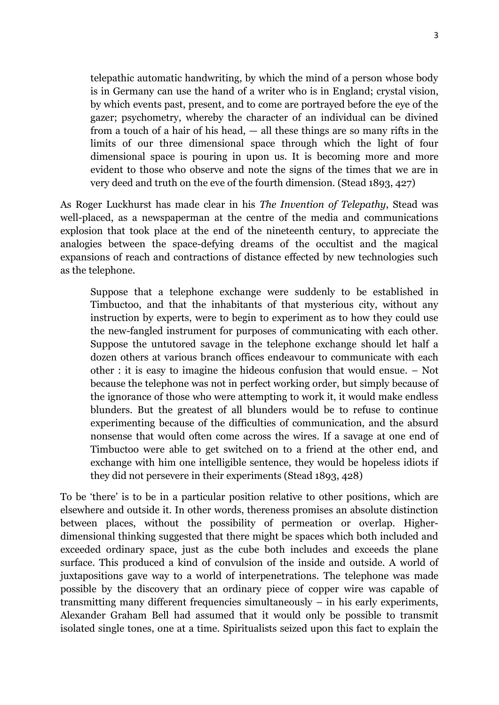telepathic automatic handwriting, by which the mind of a person whose body is in Germany can use the hand of a writer who is in England; crystal vision, by which events past, present, and to come are portrayed before the eye of the gazer; psychometry, whereby the character of an individual can be divined from a touch of a hair of his head, — all these things are so many rifts in the limits of our three dimensional space through which the light of four dimensional space is pouring in upon us. It is becoming more and more evident to those who observe and note the signs of the times that we are in very deed and truth on the eve of the fourth dimension. (Stead 1893, 427)

As Roger Luckhurst has made clear in his *The Invention of Telepathy*, Stead was well-placed, as a newspaperman at the centre of the media and communications explosion that took place at the end of the nineteenth century, to appreciate the analogies between the space-defying dreams of the occultist and the magical expansions of reach and contractions of distance effected by new technologies such as the telephone.

Suppose that a telephone exchange were suddenly to be established in Timbuctoo, and that the inhabitants of that mysterious city, without any instruction by experts, were to begin to experiment as to how they could use the new-fangled instrument for purposes of communicating with each other. Suppose the untutored savage in the telephone exchange should let half a dozen others at various branch offices endeavour to communicate with each other : it is easy to imagine the hideous confusion that would ensue. – Not because the telephone was not in perfect working order, but simply because of the ignorance of those who were attempting to work it, it would make endless blunders. But the greatest of all blunders would be to refuse to continue experimenting because of the difficulties of communication, and the absurd nonsense that would often come across the wires. If a savage at one end of Timbuctoo were able to get switched on to a friend at the other end, and exchange with him one intelligible sentence, they would be hopeless idiots if they did not persevere in their experiments (Stead 1893, 428)

To be 'there' is to be in a particular position relative to other positions, which are elsewhere and outside it. In other words, thereness promises an absolute distinction between places, without the possibility of permeation or overlap. Higherdimensional thinking suggested that there might be spaces which both included and exceeded ordinary space, just as the cube both includes and exceeds the plane surface. This produced a kind of convulsion of the inside and outside. A world of juxtapositions gave way to a world of interpenetrations. The telephone was made possible by the discovery that an ordinary piece of copper wire was capable of transmitting many different frequencies simultaneously – in his early experiments, Alexander Graham Bell had assumed that it would only be possible to transmit isolated single tones, one at a time. Spiritualists seized upon this fact to explain the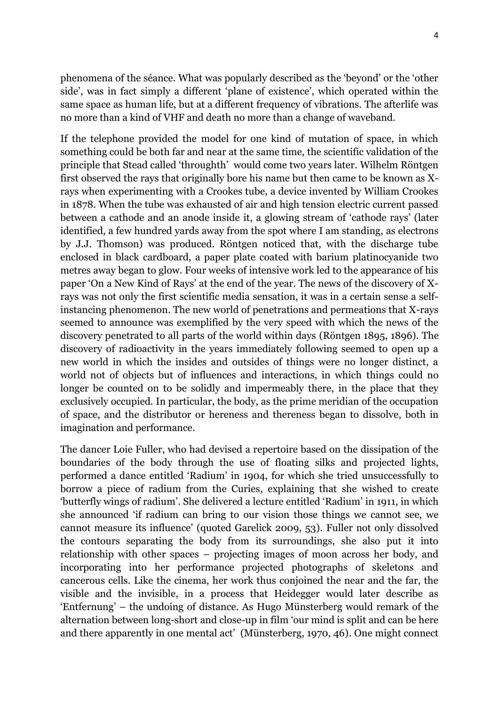phenomena of the séance. What was popularly described as the 'beyond' or the 'other side', was in fact simply a different 'plane of existence', which operated within the same space as human life, but at a different frequency of vibrations. The afterlife was no more than a kind of VHF and death no more than a change of waveband.

If the telephone provided the model for one kind of mutation of space, in which something could be both far and near at the same time, the scientific validation of the principle that Stead called 'throughth' would come two years later. Wilhelm Röntgen first observed the rays that originally bore his name but then came to be known as Xrays when experimenting with a Crookes tube, a device invented by William Crookes in 1878. When the tube was exhausted of air and high tension electric current passed between a cathode and an anode inside it, a glowing stream of 'cathode rays' (later identified, a few hundred yards away from the spot where I am standing, as electrons by J.J. Thomson) was produced. Röntgen noticed that, with the discharge tube enclosed in black cardboard, a paper plate coated with barium platinocyanide two metres away began to glow. Four weeks of intensive work led to the appearance of his paper 'On a New Kind of Rays' at the end of the year. The news of the discovery of Xrays was not only the first scientific media sensation, it was in a certain sense a selfinstancing phenomenon. The new world of penetrations and permeations that X-rays seemed to announce was exemplified by the very speed with which the news of the discovery penetrated to all parts of the world within days (Röntgen 1895, 1896). The discovery of radioactivity in the years immediately following seemed to open up a new world in which the insides and outsides of things were no longer distinct, a world not of objects but of influences and interactions, in which things could no longer be counted on to be solidly and impermeably there, in the place that they exclusively occupied. In particular, the body, as the prime meridian of the occupation of space, and the distributor or hereness and thereness began to dissolve, both in imagination and performance.

The dancer Loie Fuller, who had devised a repertoire based on the dissipation of the boundaries of the body through the use of floating silks and projected lights, performed a dance entitled 'Radium' in 1904, for which she tried unsuccessfully to borrow a piece of radium from the Curies, explaining that she wished to create 'butterfly wings of radium'. She delivered a lecture entitled 'Radium' in 1911, in which she announced 'if radium can bring to our vision those things we cannot see, we cannot measure its influence' (quoted Garelick 2009, 53). Fuller not only dissolved the contours separating the body from its surroundings, she also put it into relationship with other spaces – projecting images of moon across her body, and incorporating into her performance projected photographs of skeletons and cancerous cells. Like the cinema, her work thus conjoined the near and the far, the visible and the invisible, in a process that Heidegger would later describe as 'Entfernung' – the undoing of distance. As Hugo Münsterberg would remark of the alternation between long-short and close-up in film 'our mind is split and can be here and there apparently in one mental act' (Münsterberg, 1970, 46). One might connect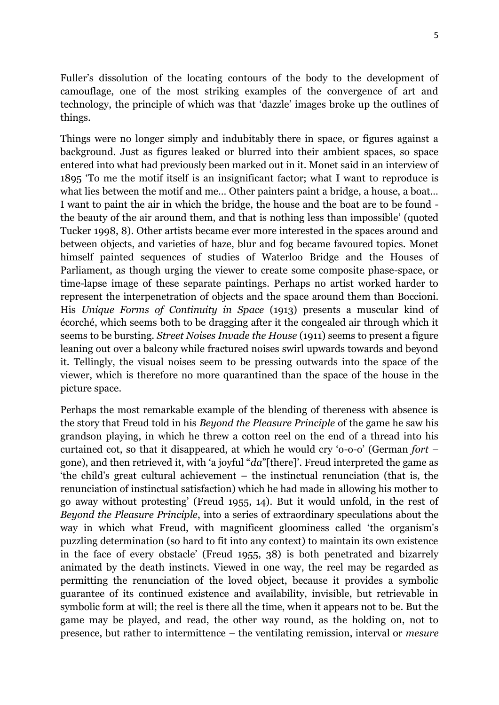Fuller's dissolution of the locating contours of the body to the development of camouflage, one of the most striking examples of the convergence of art and technology, the principle of which was that 'dazzle' images broke up the outlines of things.

Things were no longer simply and indubitably there in space, or figures against a background. Just as figures leaked or blurred into their ambient spaces, so space entered into what had previously been marked out in it. Monet said in an interview of 1895 'To me the motif itself is an insignificant factor; what I want to reproduce is what lies between the motif and me… Other painters paint a bridge, a house, a boat… I want to paint the air in which the bridge, the house and the boat are to be found the beauty of the air around them, and that is nothing less than impossible' (quoted Tucker 1998, 8). Other artists became ever more interested in the spaces around and between objects, and varieties of haze, blur and fog became favoured topics. Monet himself painted sequences of studies of Waterloo Bridge and the Houses of Parliament, as though urging the viewer to create some composite phase-space, or time-lapse image of these separate paintings. Perhaps no artist worked harder to represent the interpenetration of objects and the space around them than Boccioni. His *Unique Forms of Continuity in Space* (1913) presents a muscular kind of écorché, which seems both to be dragging after it the congealed air through which it seems to be bursting. *Street Noises Invade the House* (1911) seems to present a figure leaning out over a balcony while fractured noises swirl upwards towards and beyond it. Tellingly, the visual noises seem to be pressing outwards into the space of the viewer, which is therefore no more quarantined than the space of the house in the picture space.

Perhaps the most remarkable example of the blending of thereness with absence is the story that Freud told in his *Beyond the Pleasure Principle* of the game he saw his grandson playing, in which he threw a cotton reel on the end of a thread into his curtained cot, so that it disappeared, at which he would cry 'o-o-o' (German *fort* – gone), and then retrieved it, with 'a joyful "*da*"[there]'. Freud interpreted the game as 'the child's great cultural achievement – the instinctual renunciation (that is, the renunciation of instinctual satisfaction) which he had made in allowing his mother to go away without protesting' (Freud 1955, 14). But it would unfold, in the rest of *Beyond the Pleasure Principle*, into a series of extraordinary speculations about the way in which what Freud, with magnificent gloominess called 'the organism's puzzling determination (so hard to fit into any context) to maintain its own existence in the face of every obstacle' (Freud 1955, 38) is both penetrated and bizarrely animated by the death instincts. Viewed in one way, the reel may be regarded as permitting the renunciation of the loved object, because it provides a symbolic guarantee of its continued existence and availability, invisible, but retrievable in symbolic form at will; the reel is there all the time, when it appears not to be. But the game may be played, and read, the other way round, as the holding on, not to presence, but rather to intermittence – the ventilating remission, interval or *mesure*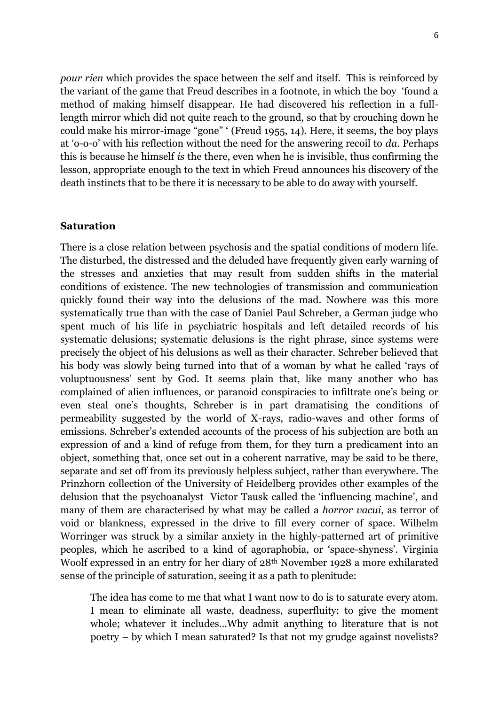*pour rien* which provides the space between the self and itself. This is reinforced by the variant of the game that Freud describes in a footnote, in which the boy 'found a method of making himself disappear. He had discovered his reflection in a fulllength mirror which did not quite reach to the ground, so that by crouching down he could make his mirror-image "gone" ' (Freud 1955, 14). Here, it seems, the boy plays at 'o-o-o' with his reflection without the need for the answering recoil to *da*. Perhaps this is because he himself *is* the there, even when he is invisible, thus confirming the lesson, appropriate enough to the text in which Freud announces his discovery of the death instincts that to be there it is necessary to be able to do away with yourself.

## **Saturation**

There is a close relation between psychosis and the spatial conditions of modern life. The disturbed, the distressed and the deluded have frequently given early warning of the stresses and anxieties that may result from sudden shifts in the material conditions of existence. The new technologies of transmission and communication quickly found their way into the delusions of the mad. Nowhere was this more systematically true than with the case of Daniel Paul Schreber, a German judge who spent much of his life in psychiatric hospitals and left detailed records of his systematic delusions; systematic delusions is the right phrase, since systems were precisely the object of his delusions as well as their character. Schreber believed that his body was slowly being turned into that of a woman by what he called 'rays of voluptuousness' sent by God. It seems plain that, like many another who has complained of alien influences, or paranoid conspiracies to infiltrate one's being or even steal one's thoughts, Schreber is in part dramatising the conditions of permeability suggested by the world of X-rays, radio-waves and other forms of emissions. Schreber's extended accounts of the process of his subjection are both an expression of and a kind of refuge from them, for they turn a predicament into an object, something that, once set out in a coherent narrative, may be said to be there, separate and set off from its previously helpless subject, rather than everywhere. The Prinzhorn collection of the University of Heidelberg provides other examples of the delusion that the psychoanalyst Victor Tausk called the 'influencing machine', and many of them are characterised by what may be called a *horror vacui*, as terror of void or blankness, expressed in the drive to fill every corner of space. Wilhelm Worringer was struck by a similar anxiety in the highly-patterned art of primitive peoples, which he ascribed to a kind of agoraphobia, or 'space-shyness'. Virginia Woolf expressed in an entry for her diary of 28th November 1928 a more exhilarated sense of the principle of saturation, seeing it as a path to plenitude:

The idea has come to me that what I want now to do is to saturate every atom. I mean to eliminate all waste, deadness, superfluity: to give the moment whole; whatever it includes…Why admit anything to literature that is not poetry – by which I mean saturated? Is that not my grudge against novelists?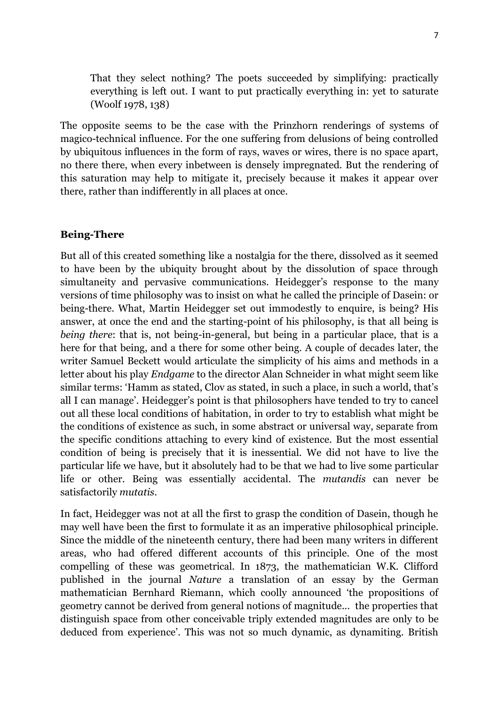That they select nothing? The poets succeeded by simplifying: practically everything is left out. I want to put practically everything in: yet to saturate (Woolf 1978, 138)

The opposite seems to be the case with the Prinzhorn renderings of systems of magico-technical influence. For the one suffering from delusions of being controlled by ubiquitous influences in the form of rays, waves or wires, there is no space apart, no there there, when every inbetween is densely impregnated. But the rendering of this saturation may help to mitigate it, precisely because it makes it appear over there, rather than indifferently in all places at once.

## **Being-There**

But all of this created something like a nostalgia for the there, dissolved as it seemed to have been by the ubiquity brought about by the dissolution of space through simultaneity and pervasive communications. Heidegger's response to the many versions of time philosophy was to insist on what he called the principle of Dasein: or being-there. What, Martin Heidegger set out immodestly to enquire, is being? His answer, at once the end and the starting-point of his philosophy, is that all being is *being there*: that is, not being-in-general, but being in a particular place, that is a here for that being, and a there for some other being. A couple of decades later, the writer Samuel Beckett would articulate the simplicity of his aims and methods in a letter about his play *Endgame* to the director Alan Schneider in what might seem like similar terms: 'Hamm as stated, Clov as stated, in such a place, in such a world, that's all I can manage'. Heidegger's point is that philosophers have tended to try to cancel out all these local conditions of habitation, in order to try to establish what might be the conditions of existence as such, in some abstract or universal way, separate from the specific conditions attaching to every kind of existence. But the most essential condition of being is precisely that it is inessential. We did not have to live the particular life we have, but it absolutely had to be that we had to live some particular life or other. Being was essentially accidental. The *mutandis* can never be satisfactorily *mutatis*.

In fact, Heidegger was not at all the first to grasp the condition of Dasein, though he may well have been the first to formulate it as an imperative philosophical principle. Since the middle of the nineteenth century, there had been many writers in different areas, who had offered different accounts of this principle. One of the most compelling of these was geometrical. In 1873, the mathematician W.K. Clifford published in the journal *Nature* a translation of an essay by the German mathematician Bernhard Riemann, which coolly announced 'the propositions of geometry cannot be derived from general notions of magnitude... the properties that distinguish space from other conceivable triply extended magnitudes are only to be deduced from experience'. This was not so much dynamic, as dynamiting. British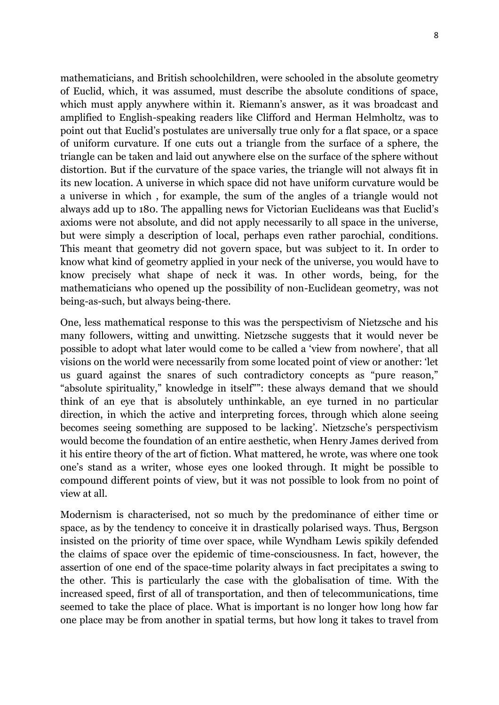mathematicians, and British schoolchildren, were schooled in the absolute geometry of Euclid, which, it was assumed, must describe the absolute conditions of space, which must apply anywhere within it. Riemann's answer, as it was broadcast and amplified to English-speaking readers like Clifford and Herman Helmholtz, was to point out that Euclid's postulates are universally true only for a flat space, or a space of uniform curvature. If one cuts out a triangle from the surface of a sphere, the triangle can be taken and laid out anywhere else on the surface of the sphere without distortion. But if the curvature of the space varies, the triangle will not always fit in its new location. A universe in which space did not have uniform curvature would be a universe in which , for example, the sum of the angles of a triangle would not always add up to 180. The appalling news for Victorian Euclideans was that Euclid's axioms were not absolute, and did not apply necessarily to all space in the universe, but were simply a description of local, perhaps even rather parochial, conditions. This meant that geometry did not govern space, but was subject to it. In order to know what kind of geometry applied in your neck of the universe, you would have to know precisely what shape of neck it was. In other words, being, for the mathematicians who opened up the possibility of non-Euclidean geometry, was not being-as-such, but always being-there.

One, less mathematical response to this was the perspectivism of Nietzsche and his many followers, witting and unwitting. Nietzsche suggests that it would never be possible to adopt what later would come to be called a 'view from nowhere', that all visions on the world were necessarily from some located point of view or another: 'let us guard against the snares of such contradictory concepts as "pure reason," "absolute spirituality," knowledge in itself"": these always demand that we should think of an eye that is absolutely unthinkable, an eye turned in no particular direction, in which the active and interpreting forces, through which alone seeing becomes seeing something are supposed to be lacking'. Nietzsche's perspectivism would become the foundation of an entire aesthetic, when Henry James derived from it his entire theory of the art of fiction. What mattered, he wrote, was where one took one's stand as a writer, whose eyes one looked through. It might be possible to compound different points of view, but it was not possible to look from no point of view at all.

Modernism is characterised, not so much by the predominance of either time or space, as by the tendency to conceive it in drastically polarised ways. Thus, Bergson insisted on the priority of time over space, while Wyndham Lewis spikily defended the claims of space over the epidemic of time-consciousness. In fact, however, the assertion of one end of the space-time polarity always in fact precipitates a swing to the other. This is particularly the case with the globalisation of time. With the increased speed, first of all of transportation, and then of telecommunications, time seemed to take the place of place. What is important is no longer how long how far one place may be from another in spatial terms, but how long it takes to travel from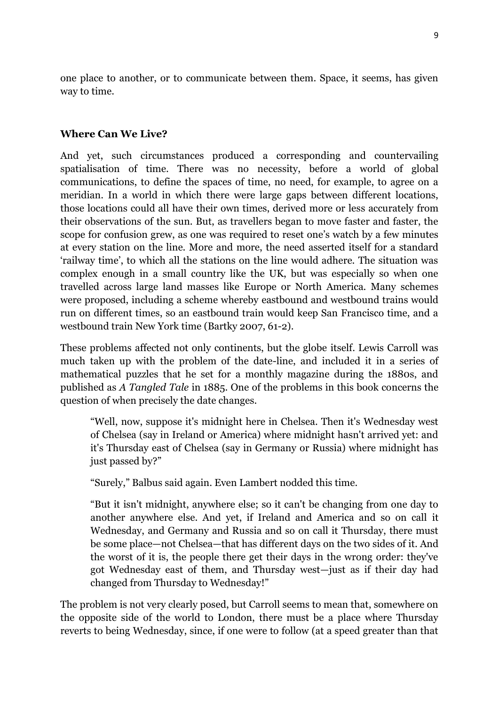one place to another, or to communicate between them. Space, it seems, has given way to time.

# **Where Can We Live?**

And yet, such circumstances produced a corresponding and countervailing spatialisation of time. There was no necessity, before a world of global communications, to define the spaces of time, no need, for example, to agree on a meridian. In a world in which there were large gaps between different locations, those locations could all have their own times, derived more or less accurately from their observations of the sun. But, as travellers began to move faster and faster, the scope for confusion grew, as one was required to reset one's watch by a few minutes at every station on the line. More and more, the need asserted itself for a standard 'railway time', to which all the stations on the line would adhere. The situation was complex enough in a small country like the UK, but was especially so when one travelled across large land masses like Europe or North America. Many schemes were proposed, including a scheme whereby eastbound and westbound trains would run on different times, so an eastbound train would keep San Francisco time, and a westbound train New York time (Bartky 2007, 61-2).

These problems affected not only continents, but the globe itself. Lewis Carroll was much taken up with the problem of the date-line, and included it in a series of mathematical puzzles that he set for a monthly magazine during the 1880s, and published as *A Tangled Tale* in 1885. One of the problems in this book concerns the question of when precisely the date changes.

"Well, now, suppose it's midnight here in Chelsea. Then it's Wednesday west of Chelsea (say in Ireland or America) where midnight hasn't arrived yet: and it's Thursday east of Chelsea (say in Germany or Russia) where midnight has just passed by?"

"Surely," Balbus said again. Even Lambert nodded this time.

"But it isn't midnight, anywhere else; so it can't be changing from one day to another anywhere else. And yet, if Ireland and America and so on call it Wednesday, and Germany and Russia and so on call it Thursday, there must be some place—not Chelsea—that has different days on the two sides of it. And the worst of it is, the people there get their days in the wrong order: they've got Wednesday east of them, and Thursday west—just as if their day had changed from Thursday to Wednesday!"

The problem is not very clearly posed, but Carroll seems to mean that, somewhere on the opposite side of the world to London, there must be a place where Thursday reverts to being Wednesday, since, if one were to follow (at a speed greater than that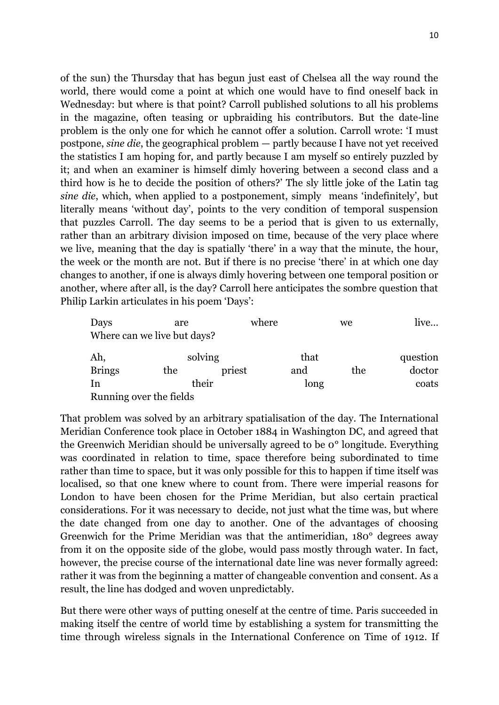of the sun) the Thursday that has begun just east of Chelsea all the way round the world, there would come a point at which one would have to find oneself back in Wednesday: but where is that point? Carroll published solutions to all his problems in the magazine, often teasing or upbraiding his contributors. But the date-line problem is the only one for which he cannot offer a solution. Carroll wrote: 'I must postpone, *sine die*, the geographical problem — partly because I have not yet received the statistics I am hoping for, and partly because I am myself so entirely puzzled by it; and when an examiner is himself dimly hovering between a second class and a third how is he to decide the position of others?' The sly little joke of the Latin tag *sine die*, which, when applied to a postponement, simply means 'indefinitely', but literally means 'without day', points to the very condition of temporal suspension that puzzles Carroll. The day seems to be a period that is given to us externally, rather than an arbitrary division imposed on time, because of the very place where we live, meaning that the day is spatially 'there' in a way that the minute, the hour, the week or the month are not. But if there is no precise 'there' in at which one day changes to another, if one is always dimly hovering between one temporal position or another, where after all, is the day? Carroll here anticipates the sombre question that Philip Larkin articulates in his poem 'Days':

| Days                    | are                         |        | where | we  | live   |
|-------------------------|-----------------------------|--------|-------|-----|--------|
|                         | Where can we live but days? |        |       |     |        |
| Ah,                     | solving                     |        | that  |     |        |
| <b>Brings</b>           | the                         | priest | and   | the | doctor |
| In                      | their                       |        | long  |     |        |
| Running over the fields |                             |        |       |     |        |

That problem was solved by an arbitrary spatialisation of the day. The International Meridian Conference took place in October 1884 in Washington DC, and agreed that the Greenwich Meridian should be universally agreed to be 0° longitude. Everything was coordinated in relation to time, space therefore being subordinated to time rather than time to space, but it was only possible for this to happen if time itself was localised, so that one knew where to count from. There were imperial reasons for London to have been chosen for the Prime Meridian, but also certain practical considerations. For it was necessary to decide, not just what the time was, but where the date changed from one day to another. One of the advantages of choosing Greenwich for the Prime Meridian was that the antimeridian, 180° degrees away from it on the opposite side of the globe, would pass mostly through water. In fact, however, the precise course of the international date line was never formally agreed: rather it was from the beginning a matter of changeable convention and consent. As a result, the line has dodged and woven unpredictably.

But there were other ways of putting oneself at the centre of time. Paris succeeded in making itself the centre of world time by establishing a system for transmitting the time through wireless signals in the International Conference on Time of 1912. If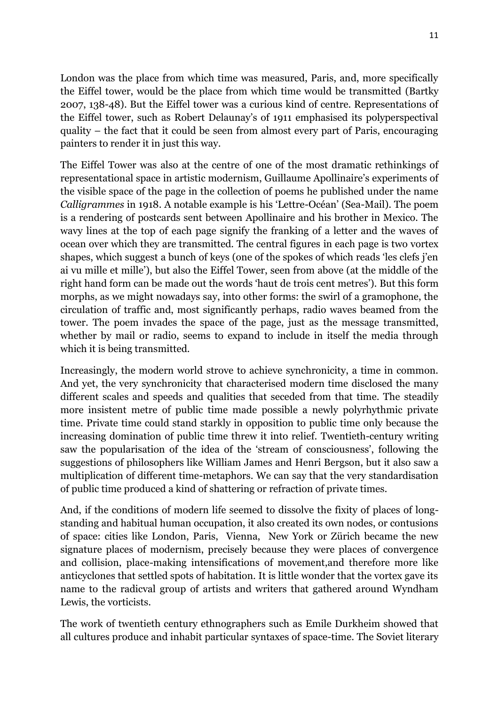London was the place from which time was measured, Paris, and, more specifically the Eiffel tower, would be the place from which time would be transmitted (Bartky 2007, 138-48). But the Eiffel tower was a curious kind of centre. Representations of the Eiffel tower, such as Robert Delaunay's of 1911 emphasised its polyperspectival quality – the fact that it could be seen from almost every part of Paris, encouraging painters to render it in just this way.

The Eiffel Tower was also at the centre of one of the most dramatic rethinkings of representational space in artistic modernism, Guillaume Apollinaire's experiments of the visible space of the page in the collection of poems he published under the name *Calligrammes* in 1918. A notable example is his 'Lettre-Océan' (Sea-Mail). The poem is a rendering of postcards sent between Apollinaire and his brother in Mexico. The wavy lines at the top of each page signify the franking of a letter and the waves of ocean over which they are transmitted. The central figures in each page is two vortex shapes, which suggest a bunch of keys (one of the spokes of which reads 'les clefs j'en ai vu mille et mille'), but also the Eiffel Tower, seen from above (at the middle of the right hand form can be made out the words 'haut de trois cent metres'). But this form morphs, as we might nowadays say, into other forms: the swirl of a gramophone, the circulation of traffic and, most significantly perhaps, radio waves beamed from the tower. The poem invades the space of the page, just as the message transmitted, whether by mail or radio, seems to expand to include in itself the media through which it is being transmitted.

Increasingly, the modern world strove to achieve synchronicity, a time in common. And yet, the very synchronicity that characterised modern time disclosed the many different scales and speeds and qualities that seceded from that time. The steadily more insistent metre of public time made possible a newly polyrhythmic private time. Private time could stand starkly in opposition to public time only because the increasing domination of public time threw it into relief. Twentieth-century writing saw the popularisation of the idea of the 'stream of consciousness', following the suggestions of philosophers like William James and Henri Bergson, but it also saw a multiplication of different time-metaphors. We can say that the very standardisation of public time produced a kind of shattering or refraction of private times.

And, if the conditions of modern life seemed to dissolve the fixity of places of longstanding and habitual human occupation, it also created its own nodes, or contusions of space: cities like London, Paris, Vienna, New York or Zürich became the new signature places of modernism, precisely because they were places of convergence and collision, place-making intensifications of movement,and therefore more like anticyclones that settled spots of habitation. It is little wonder that the vortex gave its name to the radicval group of artists and writers that gathered around Wyndham Lewis, the vorticists.

The work of twentieth century ethnographers such as Emile Durkheim showed that all cultures produce and inhabit particular syntaxes of space-time. The Soviet literary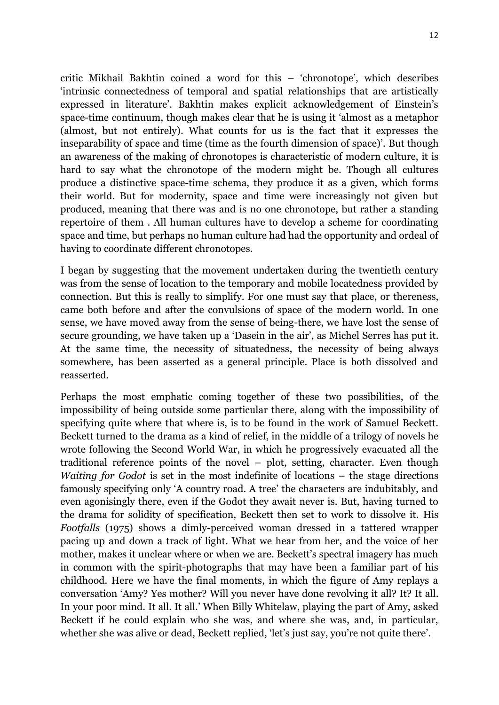critic Mikhail Bakhtin coined a word for this – 'chronotope', which describes 'intrinsic connectedness of temporal and spatial relationships that are artistically expressed in literature'. Bakhtin makes explicit acknowledgement of Einstein's space-time continuum, though makes clear that he is using it 'almost as a metaphor (almost, but not entirely). What counts for us is the fact that it expresses the inseparability of space and time (time as the fourth dimension of space)'. But though an awareness of the making of chronotopes is characteristic of modern culture, it is hard to say what the chronotope of the modern might be. Though all cultures produce a distinctive space-time schema, they produce it as a given, which forms their world. But for modernity, space and time were increasingly not given but produced, meaning that there was and is no one chronotope, but rather a standing repertoire of them . All human cultures have to develop a scheme for coordinating space and time, but perhaps no human culture had had the opportunity and ordeal of having to coordinate different chronotopes.

I began by suggesting that the movement undertaken during the twentieth century was from the sense of location to the temporary and mobile locatedness provided by connection. But this is really to simplify. For one must say that place, or thereness, came both before and after the convulsions of space of the modern world. In one sense, we have moved away from the sense of being-there, we have lost the sense of secure grounding, we have taken up a 'Dasein in the air', as Michel Serres has put it. At the same time, the necessity of situatedness, the necessity of being always somewhere, has been asserted as a general principle. Place is both dissolved and reasserted.

Perhaps the most emphatic coming together of these two possibilities, of the impossibility of being outside some particular there, along with the impossibility of specifying quite where that where is, is to be found in the work of Samuel Beckett. Beckett turned to the drama as a kind of relief, in the middle of a trilogy of novels he wrote following the Second World War, in which he progressively evacuated all the traditional reference points of the novel – plot, setting, character. Even though *Waiting for Godot* is set in the most indefinite of locations – the stage directions famously specifying only 'A country road. A tree' the characters are indubitably, and even agonisingly there, even if the Godot they await never is. But, having turned to the drama for solidity of specification, Beckett then set to work to dissolve it. His *Footfalls* (1975) shows a dimly-perceived woman dressed in a tattered wrapper pacing up and down a track of light. What we hear from her, and the voice of her mother, makes it unclear where or when we are. Beckett's spectral imagery has much in common with the spirit-photographs that may have been a familiar part of his childhood. Here we have the final moments, in which the figure of Amy replays a conversation 'Amy? Yes mother? Will you never have done revolving it all? It? It all. In your poor mind. It all. It all.' When Billy Whitelaw, playing the part of Amy, asked Beckett if he could explain who she was, and where she was, and, in particular, whether she was alive or dead, Beckett replied, 'let's just say, you're not quite there'.